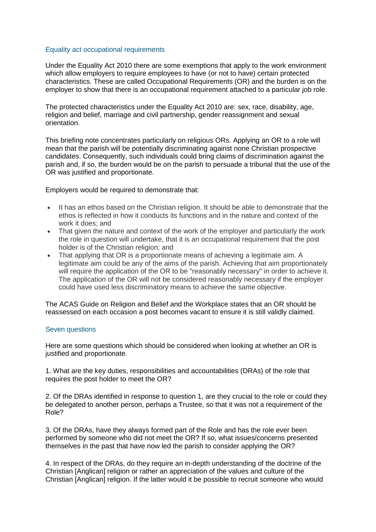## Equality act occupational requirements

Under the Equality Act 2010 there are some exemptions that apply to the work environment which allow employers to require employees to have (or not to have) certain protected characteristics. These are called Occupational Requirements (OR) and the burden is on the employer to show that there is an occupational requirement attached to a particular job role.

The protected characteristics under the Equality Act 2010 are: sex, race, disability, age, religion and belief, marriage and civil partnership, gender reassignment and sexual orientation.

This briefing note concentrates particularly on religious ORs. Applying an OR to a role will mean that the parish will be potentially discriminating against none Christian prospective candidates. Consequently, such individuals could bring claims of discrimination against the parish and, if so, the burden would be on the parish to persuade a tribunal that the use of the OR was justified and proportionate.

Employers would be required to demonstrate that:

- It has an ethos based on the Christian religion. It should be able to demonstrate that the ethos is reflected in how it conducts its functions and in the nature and context of the work it does; and
- That given the nature and context of the work of the employer and particularly the work the role in question will undertake, that it is an occupational requirement that the post holder is of the Christian religion; and
- That applying that OR is a proportionate means of achieving a legitimate aim. A legitimate aim could be any of the aims of the parish. Achieving that aim proportionately will require the application of the OR to be "reasonably necessary" in order to achieve it. The application of the OR will not be considered reasonably necessary if the employer could have used less discriminatory means to achieve the same objective.

The ACAS Guide on Religion and Belief and the Workplace states that an OR should be reassessed on each occasion a post becomes vacant to ensure it is still validly claimed.

## Seven questions

Here are some questions which should be considered when looking at whether an OR is justified and proportionate.

1. What are the key duties, responsibilities and accountabilities (DRAs) of the role that requires the post holder to meet the OR?

2. Of the DRAs identified in response to question 1, are they crucial to the role or could they be delegated to another person, perhaps a Trustee, so that it was not a requirement of the Role?

3. Of the DRAs, have they always formed part of the Role and has the role ever been performed by someone who did not meet the OR? If so, what issues/concerns presented themselves in the past that have now led the parish to consider applying the OR?

4. In respect of the DRAs, do they require an in-depth understanding of the doctrine of the Christian [Anglican] religion or rather an appreciation of the values and culture of the Christian [Anglican] religion. If the latter would it be possible to recruit someone who would